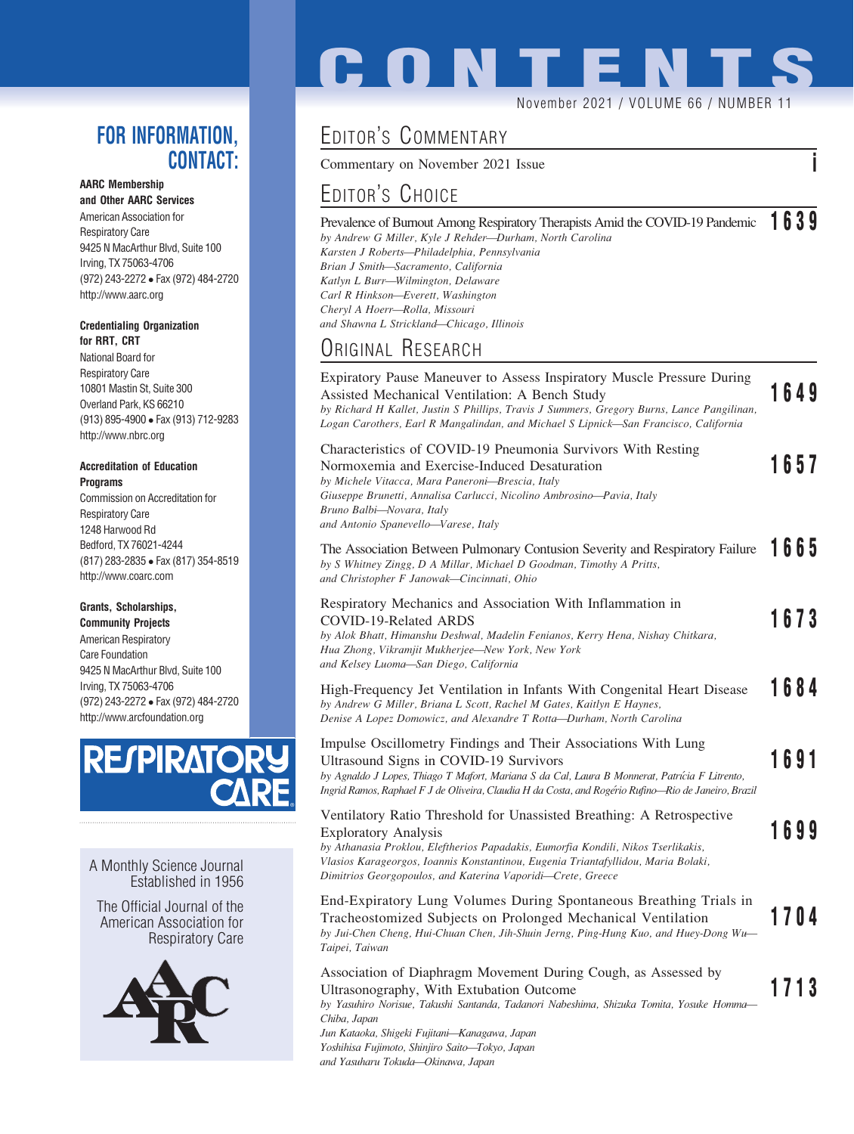### FOR INFORMATION, CONTACT:

### AARC Membership

and Other AARC Services American Association for Respiratory Care 9425 N MacArthur Blvd, Suite 100 Irving, TX 75063-4706 (972) 243-2272 Fax (972) 484-2720 http://www.aarc.org

#### Credentialing Organization for RRT, CRT

National Board for Respiratory Care 10801 Mastin St, Suite 300 Overland Park, KS 66210 (913) 895-4900 Fax (913) 712-9283 http://www.nbrc.org

#### Accreditation of Education **Programs**

Commission on Accreditation for Respiratory Care 1248 Harwood Rd Bedford, TX 76021-4244 (817) 283-2835 Fax (817) 354-8519 http://www.coarc.com

### Grants, Scholarships,

Community Projects American Respiratory Care Foundation 9425 N MacArthur Blvd, Suite 100 Irving, TX 75063-4706 (972) 243-2272 Fax (972) 484-2720 http://www.arcfoundation.org



A Monthly Science Journal Established in 1956

The Official Journal of the American Association for Respiratory Care



# **CONTENT** November 2021 / VOLUME 66 / NUMBER 11

## EDITOR'S COMMENTARY

Commentary on November 2021 Issue i

## EDITOR'S CHOICE

Prevalence of Burnout Among Respiratory Therapists Amid the COVID-19 Pandemic 1639 by Andrew G Miller, Kyle J Rehder—Durham, North Carolina Karsten J Roberts—Philadelphia, Pennsylvania Brian J Smith—Sacramento, California Katlyn L Burr—Wilmington, Delaware Carl R Hinkson—Everett, Washington Cheryl A Hoerr—Rolla, Missouri and Shawna L Strickland—Chicago, Illinois

## ORIGINAL RESEARCH

| Expiratory Pause Maneuver to Assess Inspiratory Muscle Pressure During<br>Assisted Mechanical Ventilation: A Bench Study<br>by Richard H Kallet, Justin S Phillips, Travis J Summers, Gregory Burns, Lance Pangilinan,<br>Logan Carothers, Earl R Mangalindan, and Michael S Lipnick-San Francisco, California                                | 1649 |
|-----------------------------------------------------------------------------------------------------------------------------------------------------------------------------------------------------------------------------------------------------------------------------------------------------------------------------------------------|------|
| Characteristics of COVID-19 Pneumonia Survivors With Resting<br>Normoxemia and Exercise-Induced Desaturation<br>by Michele Vitacca, Mara Paneroni-Brescia, Italy<br>Giuseppe Brunetti, Annalisa Carlucci, Nicolino Ambrosino-Pavia, Italy<br>Bruno Balbi-Novara, Italy<br>and Antonio Spanevello—Varese, Italy                                | 1657 |
| The Association Between Pulmonary Contusion Severity and Respiratory Failure<br>by S Whitney Zingg, D A Millar, Michael D Goodman, Timothy A Pritts,<br>and Christopher F Janowak-Cincinnati, Ohio                                                                                                                                            | 1665 |
| Respiratory Mechanics and Association With Inflammation in<br>COVID-19-Related ARDS<br>by Alok Bhatt, Himanshu Deshwal, Madelin Fenianos, Kerry Hena, Nishay Chitkara,<br>Hua Zhong, Vikramjit Mukherjee—New York, New York<br>and Kelsey Luoma-San Diego, California                                                                         | 1673 |
| High-Frequency Jet Ventilation in Infants With Congenital Heart Disease<br>by Andrew G Miller, Briana L Scott, Rachel M Gates, Kaitlyn E Haynes,<br>Denise A Lopez Domowicz, and Alexandre T Rotta-Durham, North Carolina                                                                                                                     | 1684 |
| Impulse Oscillometry Findings and Their Associations With Lung<br>Ultrasound Signs in COVID-19 Survivors<br>by Agnaldo J Lopes, Thiago T Mafort, Mariana S da Cal, Laura B Monnerat, Patrícia F Litrento,<br>Ingrid Ramos, Raphael F J de Oliveira, Claudia H da Costa, and Rogério Rufino-Rio de Janeiro, Brazil                             | 1691 |
| Ventilatory Ratio Threshold for Unassisted Breathing: A Retrospective<br><b>Exploratory Analysis</b><br>by Athanasia Proklou, Eleftherios Papadakis, Eumorfia Kondili, Nikos Tserlikakis,<br>Vlasios Karageorgos, Ioannis Konstantinou, Eugenia Triantafyllidou, Maria Bolaki,<br>Dimitrios Georgopoulos, and Katerina Vaporidi-Crete, Greece | 1699 |
| End-Expiratory Lung Volumes During Spontaneous Breathing Trials in<br>Tracheostomized Subjects on Prolonged Mechanical Ventilation<br>by Jui-Chen Cheng, Hui-Chuan Chen, Jih-Shuin Jerng, Ping-Hung Kuo, and Huey-Dong Wu-<br>Taipei, Taiwan                                                                                                  | 1704 |
| Association of Diaphragm Movement During Cough, as Assessed by<br>Ultrasonography, With Extubation Outcome<br>by Yasuhiro Norisue, Takushi Santanda, Tadanori Nabeshima, Shizuka Tomita, Yosuke Homma-<br>Chiba, Japan<br>Jun Kataoka, Shigeki Fujitani—Kanagawa, Japan                                                                       | 1713 |

Yoshihisa Fujimoto, Shinjiro Saito—Tokyo, Japan

and Yasuharu Tokuda—Okinawa, Japan